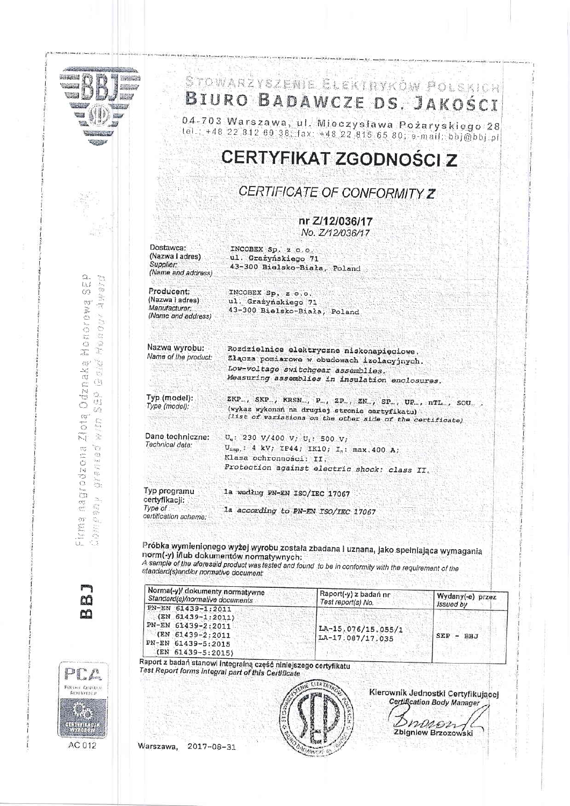| <b>CERTYFIKAT ZGODNOSCI Z</b><br>CERTIFICATE OF CONFORMITY Z<br>nr Z/12/036/17<br>No. Z/12/036/17<br>Dostawca:<br>INCOBEX Sp. z o.o.<br>(Nazwa i adres).<br>ul. Grażyńskiego 71<br>Supplier:<br>43-300 Bielsko-Biała, Poland<br>(Name and address)<br>Producent:<br>INCOBEX Sp. z o.o.<br>(Nazwa i adres)<br>ul. Grażyńskiego 71<br>Manufacturer:<br>43-300 Bielsko-Biała, Poland<br>(Name and address)<br>Nazwa wyrobu:<br>Rozdzielnice elektryczne niskonapięciowe.<br>Name of the product:<br>Złącza pomiarowe w obudowach izolacyjnych.<br>Low-voltage switchgear assemblies.<br>Measuring assemblies in insulation enclosures.<br>Typ:(model):<br>ZKP., SKP., KRSN., P., ZP., ZN., SP., UP., nTL., SOU.<br>Type (model);<br>(wykaz wykonań na drugiej stronie certyfikatu)<br>(list of variations on the other side of the certificate)<br>Dane techniczne:<br>$U_q$ : 230 V/400 V; $U_i$ : 500 V;<br>Technical data:<br>$U_{\text{imp}}$ : 4 kV; IP44; IK10; $I_n$ : max. 400 A;<br>Klasa ochronności: II,<br>Protection against electric shock: class II.<br>Typ programu<br>1a według PN-EN ISO/IEC 17067<br>certyfikacji:<br>Type of<br>la according to PN-EN ISO/IEC 17067<br>certification scheme:<br>Próbka wymienionego wyżej wyrobu została zbadana i uznana, jako spełniająca wymagania<br>norm(-y) i/lub dokumentów normatywnych:<br>A sample of the aforesaid product was tested and found to be in conformity with the requirement of the<br>standard(s)and/or normative document:<br>Norma(-y)/ dokumenty normatywne<br>Raport(-y) z badań nr<br>Wydany(-e) przez<br>Standard(s)/normalive documents<br>Test report(s) No.<br>Issued by<br>PN-EN 61439-1:2011<br>$(EN 61439 - 1:2011)$<br>PN-EN 61439-2:2011<br>LA-15.076/15.055/1<br>(EN 61439-2:2011<br>SEP<br>BBJ<br>$\overline{\phantom{a}}$<br>LA-17.087/17.035<br>PN-EN 61439-5:2015<br>(EN 61439-5:2015) |  | 04-703 Warszawa, ul. Mieczysława Pożaryskiego 28<br>tel.: +48 22 812 69 38 fax: +48 22 815 65 80; e-mail: bbj@bbj.pl |                                                                                |
|------------------------------------------------------------------------------------------------------------------------------------------------------------------------------------------------------------------------------------------------------------------------------------------------------------------------------------------------------------------------------------------------------------------------------------------------------------------------------------------------------------------------------------------------------------------------------------------------------------------------------------------------------------------------------------------------------------------------------------------------------------------------------------------------------------------------------------------------------------------------------------------------------------------------------------------------------------------------------------------------------------------------------------------------------------------------------------------------------------------------------------------------------------------------------------------------------------------------------------------------------------------------------------------------------------------------------------------------------------------------------------------------------------------------------------------------------------------------------------------------------------------------------------------------------------------------------------------------------------------------------------------------------------------------------------------------------------------------------------------------------------------------------------------------------------------------------------------------------------------------------------|--|----------------------------------------------------------------------------------------------------------------------|--------------------------------------------------------------------------------|
|                                                                                                                                                                                                                                                                                                                                                                                                                                                                                                                                                                                                                                                                                                                                                                                                                                                                                                                                                                                                                                                                                                                                                                                                                                                                                                                                                                                                                                                                                                                                                                                                                                                                                                                                                                                                                                                                                    |  |                                                                                                                      |                                                                                |
|                                                                                                                                                                                                                                                                                                                                                                                                                                                                                                                                                                                                                                                                                                                                                                                                                                                                                                                                                                                                                                                                                                                                                                                                                                                                                                                                                                                                                                                                                                                                                                                                                                                                                                                                                                                                                                                                                    |  |                                                                                                                      |                                                                                |
|                                                                                                                                                                                                                                                                                                                                                                                                                                                                                                                                                                                                                                                                                                                                                                                                                                                                                                                                                                                                                                                                                                                                                                                                                                                                                                                                                                                                                                                                                                                                                                                                                                                                                                                                                                                                                                                                                    |  |                                                                                                                      |                                                                                |
|                                                                                                                                                                                                                                                                                                                                                                                                                                                                                                                                                                                                                                                                                                                                                                                                                                                                                                                                                                                                                                                                                                                                                                                                                                                                                                                                                                                                                                                                                                                                                                                                                                                                                                                                                                                                                                                                                    |  |                                                                                                                      |                                                                                |
|                                                                                                                                                                                                                                                                                                                                                                                                                                                                                                                                                                                                                                                                                                                                                                                                                                                                                                                                                                                                                                                                                                                                                                                                                                                                                                                                                                                                                                                                                                                                                                                                                                                                                                                                                                                                                                                                                    |  |                                                                                                                      |                                                                                |
|                                                                                                                                                                                                                                                                                                                                                                                                                                                                                                                                                                                                                                                                                                                                                                                                                                                                                                                                                                                                                                                                                                                                                                                                                                                                                                                                                                                                                                                                                                                                                                                                                                                                                                                                                                                                                                                                                    |  |                                                                                                                      |                                                                                |
|                                                                                                                                                                                                                                                                                                                                                                                                                                                                                                                                                                                                                                                                                                                                                                                                                                                                                                                                                                                                                                                                                                                                                                                                                                                                                                                                                                                                                                                                                                                                                                                                                                                                                                                                                                                                                                                                                    |  |                                                                                                                      |                                                                                |
|                                                                                                                                                                                                                                                                                                                                                                                                                                                                                                                                                                                                                                                                                                                                                                                                                                                                                                                                                                                                                                                                                                                                                                                                                                                                                                                                                                                                                                                                                                                                                                                                                                                                                                                                                                                                                                                                                    |  |                                                                                                                      |                                                                                |
|                                                                                                                                                                                                                                                                                                                                                                                                                                                                                                                                                                                                                                                                                                                                                                                                                                                                                                                                                                                                                                                                                                                                                                                                                                                                                                                                                                                                                                                                                                                                                                                                                                                                                                                                                                                                                                                                                    |  |                                                                                                                      |                                                                                |
|                                                                                                                                                                                                                                                                                                                                                                                                                                                                                                                                                                                                                                                                                                                                                                                                                                                                                                                                                                                                                                                                                                                                                                                                                                                                                                                                                                                                                                                                                                                                                                                                                                                                                                                                                                                                                                                                                    |  |                                                                                                                      |                                                                                |
| Raport z badań stanowi integralną część niniejszego certyfikatu                                                                                                                                                                                                                                                                                                                                                                                                                                                                                                                                                                                                                                                                                                                                                                                                                                                                                                                                                                                                                                                                                                                                                                                                                                                                                                                                                                                                                                                                                                                                                                                                                                                                                                                                                                                                                    |  |                                                                                                                      |                                                                                |
|                                                                                                                                                                                                                                                                                                                                                                                                                                                                                                                                                                                                                                                                                                                                                                                                                                                                                                                                                                                                                                                                                                                                                                                                                                                                                                                                                                                                                                                                                                                                                                                                                                                                                                                                                                                                                                                                                    |  |                                                                                                                      | Kierownik Jednostki Certyfikującej<br><b>Certification Body Manager</b><br>nss |

on change.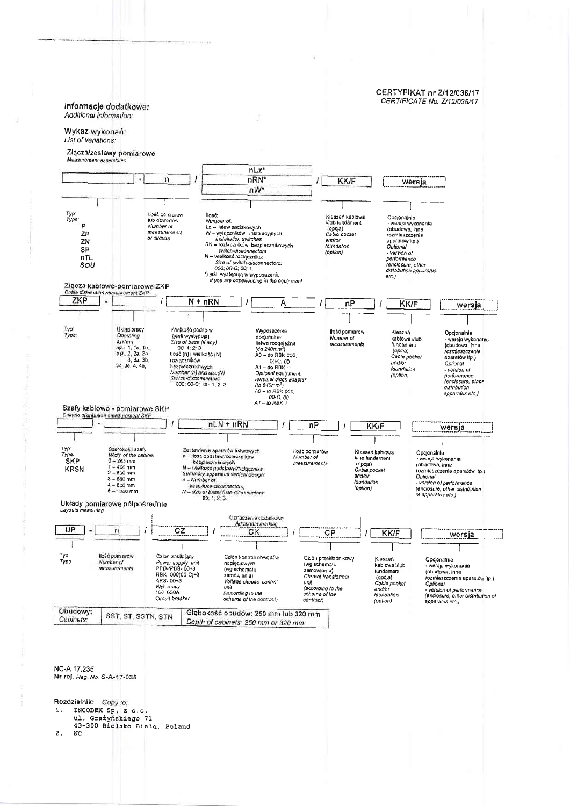## **CERTYFIKAT nr 2/12/036/17** CERTIFICATE No. Z/12/036/17 Informacje dodatkowe: Additional information: Wykaz wykonań: List of variations: Złącza/zestawy pomiarowe Measurement assembl  $nLz$ \* nRN\*  $\mathbf{n}$ **KK/F** wersja nW\* llość:<br>
Number of,<br>
Lz – listew zaciskowych<br>
Lz – listew instalacyjnych<br>
M – wylączników – instalacyjnych<br>
RN – rozleczników bezpiecznikówych<br>
switch-disconnectors<br>
N – wielkość rozlecznika;<br>
N – wielkość rozlecznika;<br>
Si llość pomiarów Typ<br>Type: Opcjonalnie<br>- wersja wykonania<br>(obudowa, inne<br>rozmieszczenie Kieszeń kablowa nose pomiarow<br>lub obwedów<br>Mumber of<br>measurements Meszeri Natione<br>Mub fundament<br>(opcja)<br>Cabla poczer  $\overline{P}$ ZP or circuits and/bi ZN aparatów itp.) foundation SP Upitanar<br>- Version of<br>performanco<br>(enclosure, other<br>distribution apparatus  $[oplin]$ nTL Size of wild-disconnectors:<br>
Size of wild-disconnectors:<br>
cod: 00-C; 00; 1,<br>
') jesli występują w wyposażeniu<br>
if you are experiencing in the equipment SOU  $etc.$ Złącza kablowo-pomiarowe ZKP asurement ZKP ZKP  $N + nRN$ A  $\overline{nP}$ **KK/F** wersja Тур<br>Туре Układ pracy Wielkość ocdstaw Wyposazenie<br>opcjonalne: llość pomiarów DKiad pracy<br>
System<br>
np.: 1, 1e, 1b,<br>
e g., 2, 2a, 2b<br>
3, 3a, 3b,<br>
3c, 3e, 4, 4a, Wielkość podstaw<br>(jeśli występują)<br>Sze of base (If any)<br>- 00; 1: 2; 3<br>tiość (n) i wielkość (N)<br>rozhaczników Kieszeń Opcjonalnie Number of<br>measurements kablowa vlub<br>fundament - wersja wykononia<br>{obudowa, inne upojonalne<br>listwa rozgajęźna<br>(do 240mm<sup>2</sup>)<br>A0 – do RaK 600, (opcja)<br>Cable pocket<br>and/or<br>foundation rozmieszczenie nozmieszczeni<br>aparatów ilp.)<br>Optionał hezpiecznikowych<br>Number (n) and size(N) - version of<br>performance<br>(enclosure, other<br>distribution  $($ option $)$ Switch-disconnectors<br>000; 00-C; 00: 1; 2; 3 **AO - to RBK 000** apparatus etc )  $60 - 6,00$ <br>A1 - to RBK 1 Szafy kablowo - pomiarowe SKP Cainets distribution measurement SKP Ÿ  $nLN + nRN$  $nF$ KK/F  $\prime$ wersja Typ:<br>Type:<br>SKP Zestawienie aparatów listwowych<br>n – dość podstawirozłączników<br>teżspiecznikówych<br>N – wielkość podstawy/rozłącznika<br>Summery apparatus vertical design Sze okość szafy llosc pomiarów<br>Number of Kleszeń kablowa Opejonalnie<br>- wersjá wykonania<br>(obudowa, inne<br>rozmieszczenie aparatów (tp.) Midth of the cabinet<br>0 - 265 mm i/lub fundament measurements (opcja)<br>Cable pocket<br>and/or  $1 - 400$  mm<br> $2 - 630$  mm<br> $3 - 660$  mm<br> $4 - 800$  mm **KRSN** Optional  $n - Number of$ - version of performance<br>(enclosure, other distribution<br>of apparatus etc.) foundation the value of<br>bsss fluse-diconnectors,<br>N = size of base/fuse-diconnectors:<br>00: 1, 2: 3. (option)  $5 - 1050$  mm Układy pomiarowe półpośrednie Layouts asuring Oznaczenie dosaikowa Additional marking UP 'n cz  $\overline{I}$ CK  $\overline{CP}$ **KK/F** wersja Тур<br>Тура llość pomiarów<br>Number of Człon zasilający Człón kontroli obwodów Czion przekładnikowy<br>(wg schematu<br>zamówienia)<br>*Current transformat* Kieszeń<br>kablowa Mub Opcionalnie Power supply unit<br>PBD-/PBS-00+3 napięciowych<br>(wg schematu<br>zamówienia) versija wykonania<br>(obudowa, inne<br>fozmieszczenie aparatów (Ip.)<br>Oplional measurements fundament RBK-000(00-C)+3<br>RBK-000(00-C)+3<br>Wyl. mory<br>f60+630A (andaliana)<br>Cable pocket<br>and/or<br>foundation Vollage circuits control unit um<br>(according to the<br>schomo of the<br>contract) unit - version of performance and<br>(according to the<br>scheme of the contract) (enclosure, other distribution of<br>apparatus etc.) Circuit breaker (option) Obudowy: Głębokość obudów: 250 mm lub 320 mm SST, ST, SSTN, STN Cabinets: Depth of cabinets: 250 mm or 320 mm NC-A 17.235 Nr rej. Reg. No. S-A-17-035 Rozdzielnik: Copy to: INCOBEX Sp. z o.o. 1. ul. Grażyńskiego 71<br>43-300 Bielsko-Białą, Poland

 $\mathbf{2}$ NC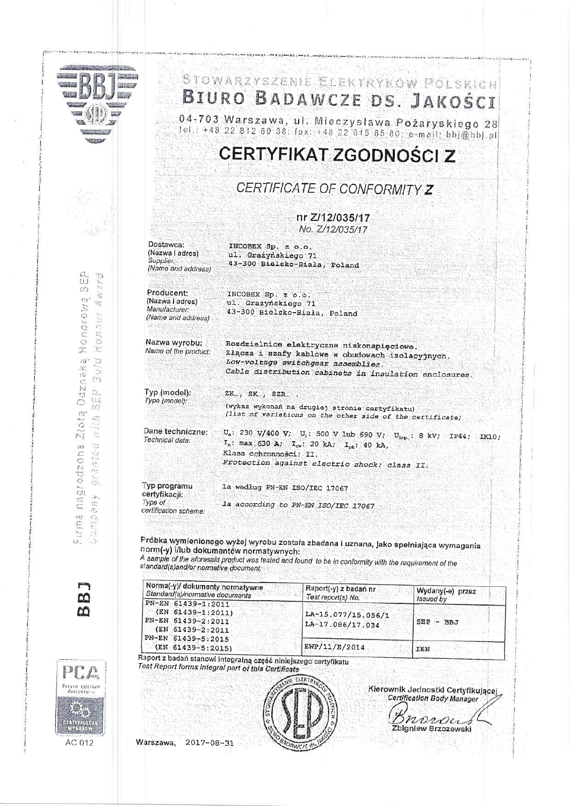